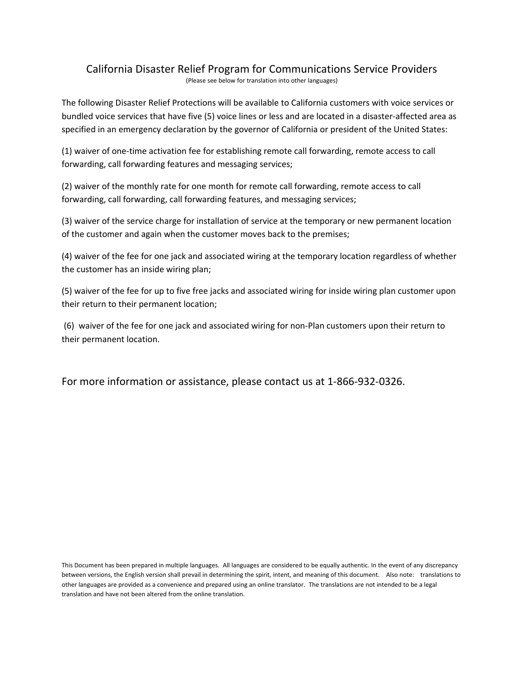# California Disaster Relief Program for Communications Service Providers

(Please see below for translation into other languages)

The following Disaster Relief Protections will be available to California customers with voice services or bundled voice services that have five (5) voice lines or less and are located in a disaster‐affected area as specified in an emergency declaration by the governor of California or president of the United States:

(1) waiver of one‐time activation fee for establishing remote call forwarding, remote access to call forwarding, call forwarding features and messaging services;

(2) waiver of the monthly rate for one month for remote call forwarding, remote access to call forwarding, call forwarding, call forwarding features, and messaging services;

(3) waiver of the service charge for installation of service at the temporary or new permanent location of the customer and again when the customer moves back to the premises;

(4) waiver of the fee for one jack and associated wiring at the temporary location regardless of whether the customer has an inside wiring plan;

(5) waiver of the fee for up to five free jacks and associated wiring for inside wiring plan customer upon their return to their permanent location;

 (6) waiver of the fee for one jack and associated wiring for non‐Plan customers upon their return to their permanent location.

For more information or assistance, please contact us at 1-866-932-0326.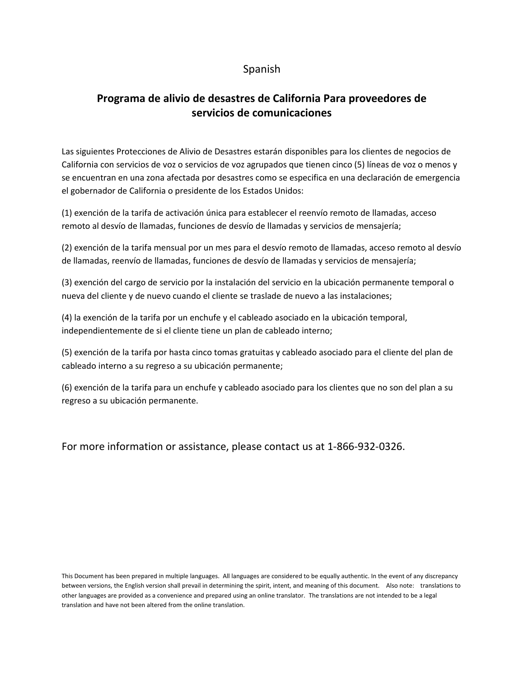### Spanish

## **Programa de alivio de desastres de California Para proveedores de servicios de comunicaciones**

Las siguientes Protecciones de Alivio de Desastres estarán disponibles para los clientes de negocios de California con servicios de voz o servicios de voz agrupados que tienen cinco (5) líneas de voz o menos y se encuentran en una zona afectada por desastres como se especifica en una declaración de emergencia el gobernador de California o presidente de los Estados Unidos:

(1) exención de la tarifa de activación única para establecer el reenvío remoto de llamadas, acceso remoto al desvío de llamadas, funciones de desvío de llamadas y servicios de mensajería;

(2) exención de la tarifa mensual por un mes para el desvío remoto de llamadas, acceso remoto al desvío de llamadas, reenvío de llamadas, funciones de desvío de llamadas y servicios de mensajería;

(3) exención del cargo de servicio por la instalación del servicio en la ubicación permanente temporal o nueva del cliente y de nuevo cuando el cliente se traslade de nuevo a las instalaciones;

(4) la exención de la tarifa por un enchufe y el cableado asociado en la ubicación temporal, independientemente de si el cliente tiene un plan de cableado interno;

(5) exención de la tarifa por hasta cinco tomas gratuitas y cableado asociado para el cliente del plan de cableado interno a su regreso a su ubicación permanente;

(6) exención de la tarifa para un enchufe y cableado asociado para los clientes que no son del plan a su regreso a su ubicación permanente.

For more information or assistance, please contact us at 1-866-932-0326.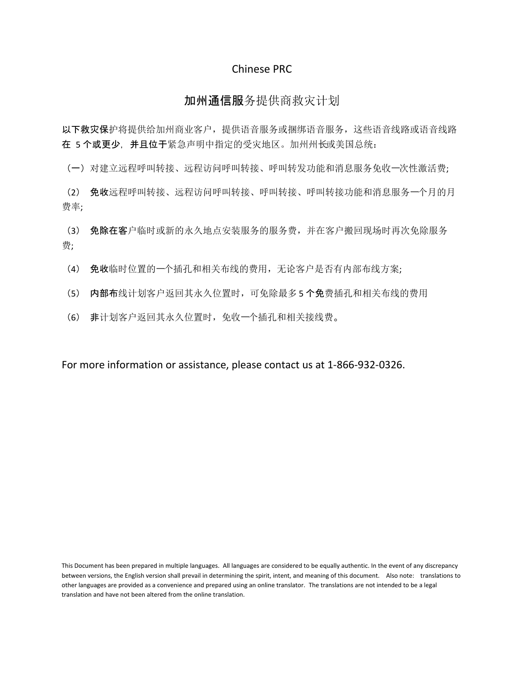#### Chinese PRC

#### 加州通信服务提供商救灾计划

以下救灾保护将提供给加州商业客户,提供语音服务或捆绑语音服务,这些语音线路或语音线路 在 5 个或更少, 并且位于紧急声明中指定的受灾地区。加州州长或美国总统:

(一)对建立远程呼叫转接、远程访问呼叫转接、呼叫转发功能和消息服务免收⼀次性激活费;

(2) 免收远程呼叫转接、远程访问呼叫转接、呼叫转接、呼叫转接功能和消息服务⼀个月的月 费率;

(3) 免除在客户临时或新的永久地点安装服务的服务费,并在客户搬回现场时再次免除服务 费;

(4) 免收临时位置的⼀个插孔和相关布线的费用,无论客户是否有内部布线方案;

(5) 内部布线计划客户返回其永久位置时,可免除最多 5 个免费插孔和相关布线的费用

(6) 非计划客户返回其永久位置时,免收⼀个插孔和相关接线费。

For more information or assistance, please contact us at 1-866-932-0326.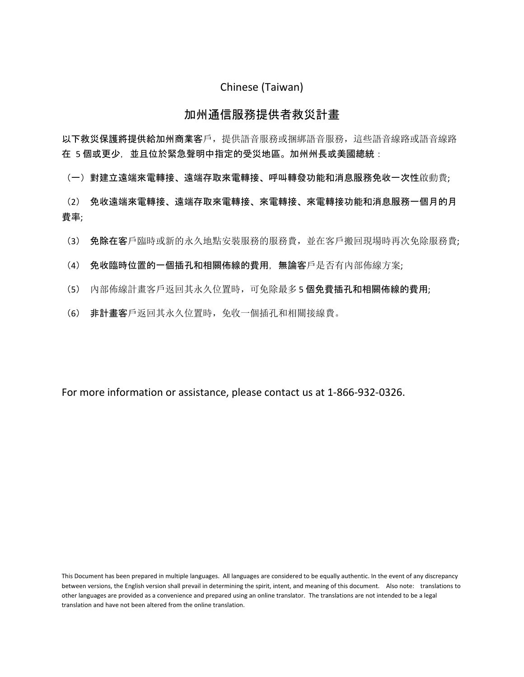#### Chinese (Taiwan)

#### 加州通信服務提供者救災計畫

以下救災保護將提供給加州商業客戶,提供語音服務或捆綁語音服務,這些語音線路或語音線路 在 5 個或更少, 並且位於緊急聲明中指定的受災地區。加州州長或美國總統:

(一)對建立遠端來電轉接、遠端存取來電轉接、呼叫轉發功能和消息服務免收一次性啟動費;

(2) 免收遠端來電轉接、遠端存取來電轉接、來電轉接、來電轉接功能和消息服務一個月的月 費率;

- (3) 免除在客戶臨時或新的永久地點安裝服務的服務費,並在客戶搬回現場時再次免除服務費;
- (4) 免收臨時位置的一個插孔和相關佈線的費用,無論客戶是否有內部佈線方案;
- (5) 內部佈線計畫客戶返回其永久位置時,可免除最多 5 個免費插孔和相關佈線的費用;
- (6) 非計畫客戶返回其永久位置時,免收一個插孔和相關接線費。

For more information or assistance, please contact us at 1-866-932-0326.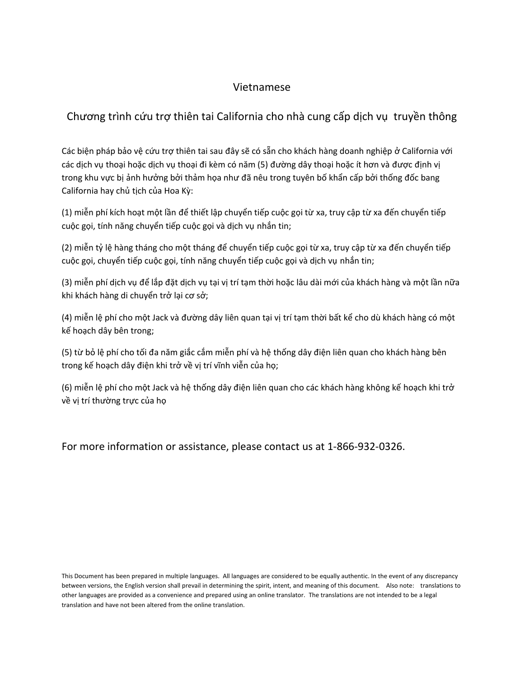#### Vietnamese

### Chương trình cứu trợ thiên tai California cho nhà cung cấp dịch vụ truyền thông

Các biện pháp bảo vệ cứu trợ thiên tai sau đây sẽ có sẵn cho khách hàng doanh nghiệp ở California với các dịch vụ thoại hoặc dịch vụ thoại đi kèm có năm (5) đường dây thoại hoặc ít hơn và được định vị trong khu vực bị ảnh hưởng bởi thảm họa như đã nêu trong tuyên bố khẩn cấp bởi thống đốc bang California hay chủ tịch của Hoa Kỳ:

(1) miễn phí kích hoạt một lần để thiết lập chuyển tiếp cuộc gọi từ xa, truy cập từ xa đến chuyển tiếp cuộc gọi, tính năng chuyển tiếp cuộc gọi và dịch vụ nhắn tin;

(2) miễn tỷ lệ hàng tháng cho một tháng để chuyển tiếp cuộc gọi từ xa, truy cập từ xa đến chuyển tiếp cuộc gọi, chuyển tiếp cuộc gọi, tính năng chuyển tiếp cuộc gọi và dịch vụ nhắn tin;

(3) miễn phí dịch vụ để lắp đặt dịch vụ tại vị trí tạm thời hoặc lâu dài mới của khách hàng và một lần nữa khi khách hàng di chuyển trở lại cơ sở;

(4) miễn lệ phí cho một Jack và đường dây liên quan tại vị trí tạm thời bất kể cho dù khách hàng có một kế hoạch dây bên trong;

(5) từ bỏ lệ phí cho tối đa năm giắc cắm miễn phí và hệ thống dây điện liên quan cho khách hàng bên trong kế hoạch dây điện khi trở về vị trí vĩnh viễn của họ;

(6) miễn lệ phí cho một Jack và hệ thống dây điện liên quan cho các khách hàng không kế hoạch khi trở về vị trí thường trực của họ

For more information or assistance, please contact us at 1-866-932-0326.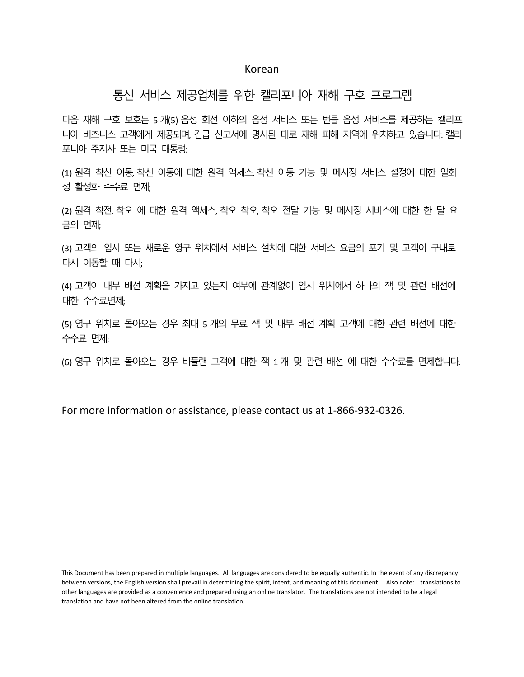#### Korean

#### 통신 서비스 제공업체를 위한 캘리포니아 재해 구호 프로그램

다음 재해 구호 보호는 5 개(5) 음성 회선 이하의 음성 서비스 또는 번들 음성 서비스를 제공하는 캘리포 니아 비즈니스 고객에게 제공되며, 긴급 신고서에 명시된 대로 재해 피해 지역에 위치하고 있습니다. 캘리 포니아 주지사 또는 미국 대통령:

(1) 원격 착신 이동, 착신 이동에 대한 원격 액세스, 착신 이동 기능 및 메시징 서비스 설정에 대한 일회 성 활성화 수수료 면제;

(2) 원격 착전, 착오 에 대한 원격 액세스, 착오 착오, 착오 전달 기능 및 메시징 서비스에 대한 한 달 요 금의 면제;

(3) 고객의 임시 또는 새로운 영구 위치에서 서비스 설치에 대한 서비스 요금의 포기 및 고객이 구내로 다시 이동할 때 다시;

(4) 고객이 내부 배선 계획을 가지고 있는지 여부에 관계없이 임시 위치에서 하나의 잭 및 관련 배선에 대한 수수료면제;

(5) 영구 위치로 돌아오는 경우 최대 5 개의 무료 잭 및 내부 배선 계획 고객에 대한 관련 배선에 대한 수수료 면제;

(6) 영구 위치로 돌아오는 경우 비플랜 고객에 대한 잭 1 개 및 관련 배선 에 대한 수수료를 면제합니다.

For more information or assistance, please contact us at 1-866-932-0326.